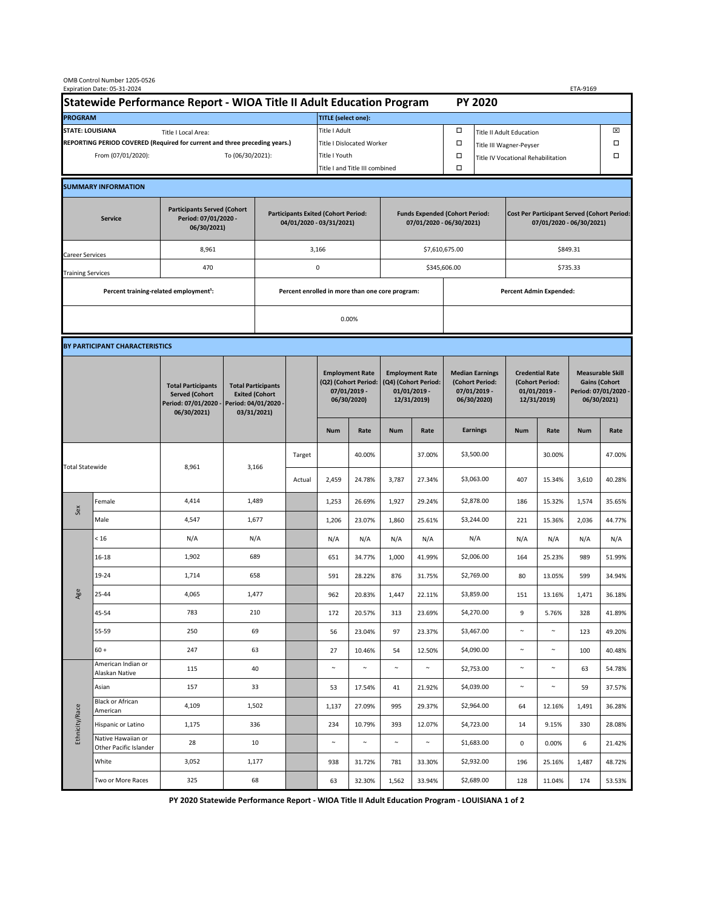|                                                                                             | OMB Control Number 1205-0526<br>Expiration Date: 05-31-2024 |                                                                                           |                                                                                           |                                                                        |        |                                                                               |                                |                                                                                 |                                              |                                                                            |                              |                                                                                |        | ETA-9169                                                                               |        |  |
|---------------------------------------------------------------------------------------------|-------------------------------------------------------------|-------------------------------------------------------------------------------------------|-------------------------------------------------------------------------------------------|------------------------------------------------------------------------|--------|-------------------------------------------------------------------------------|--------------------------------|---------------------------------------------------------------------------------|----------------------------------------------|----------------------------------------------------------------------------|------------------------------|--------------------------------------------------------------------------------|--------|----------------------------------------------------------------------------------------|--------|--|
| Statewide Performance Report - WIOA Title II Adult Education Program                        |                                                             |                                                                                           |                                                                                           |                                                                        |        |                                                                               |                                |                                                                                 |                                              |                                                                            | <b>PY 2020</b>               |                                                                                |        |                                                                                        |        |  |
| <b>PROGRAM</b>                                                                              |                                                             |                                                                                           |                                                                                           |                                                                        |        | <b>TITLE</b> (select one):                                                    |                                |                                                                                 |                                              |                                                                            |                              |                                                                                |        |                                                                                        |        |  |
| <b>STATE: LOUISIANA</b><br>Title I Local Area:                                              |                                                             |                                                                                           |                                                                                           |                                                                        |        | Title I Adult                                                                 |                                |                                                                                 |                                              | □<br><b>Title II Adult Education</b>                                       |                              |                                                                                |        |                                                                                        | ⊠      |  |
| REPORTING PERIOD COVERED (Required for current and three preceding years.)                  |                                                             |                                                                                           |                                                                                           |                                                                        |        | Title I Dislocated Worker                                                     |                                |                                                                                 |                                              | Ω                                                                          | □<br>Title III Wagner-Peyser |                                                                                |        |                                                                                        |        |  |
| To (06/30/2021):<br>From (07/01/2020):                                                      |                                                             |                                                                                           |                                                                                           | Title I Youth                                                          |        |                                                                               |                                |                                                                                 | $\Box$<br>Title IV Vocational Rehabilitation |                                                                            |                              |                                                                                |        | □                                                                                      |        |  |
|                                                                                             |                                                             |                                                                                           |                                                                                           |                                                                        |        |                                                                               | Title I and Title III combined |                                                                                 |                                              | Ω                                                                          |                              |                                                                                |        |                                                                                        |        |  |
|                                                                                             | <b>SUMMARY INFORMATION</b>                                  |                                                                                           |                                                                                           |                                                                        |        |                                                                               |                                |                                                                                 |                                              |                                                                            |                              |                                                                                |        |                                                                                        |        |  |
| <b>Participants Served (Cohort</b><br>Period: 07/01/2020 -<br><b>Service</b><br>06/30/2021) |                                                             |                                                                                           |                                                                                           | <b>Participants Exited (Cohort Period:</b><br>04/01/2020 - 03/31/2021) |        |                                                                               |                                | <b>Funds Expended (Cohort Period:</b><br>07/01/2020 - 06/30/2021)               |                                              |                                                                            |                              | <b>Cost Per Participant Served (Cohort Period:</b><br>07/01/2020 - 06/30/2021) |        |                                                                                        |        |  |
| Career Services                                                                             |                                                             | 8,961                                                                                     |                                                                                           |                                                                        |        | 3,166                                                                         |                                |                                                                                 |                                              | \$7,610,675.00                                                             |                              | \$849.31                                                                       |        |                                                                                        |        |  |
| <b>Training Services</b>                                                                    |                                                             | 470                                                                                       | 0                                                                                         |                                                                        |        |                                                                               | \$345,606.00                   |                                                                                 |                                              |                                                                            | \$735.33                     |                                                                                |        |                                                                                        |        |  |
|                                                                                             | Percent training-related employment <sup>1</sup> :          |                                                                                           |                                                                                           | Percent enrolled in more than one core program:                        |        |                                                                               |                                |                                                                                 | <b>Percent Admin Expended:</b>               |                                                                            |                              |                                                                                |        |                                                                                        |        |  |
|                                                                                             |                                                             |                                                                                           |                                                                                           |                                                                        |        | 0.00%                                                                         |                                |                                                                                 |                                              |                                                                            |                              |                                                                                |        |                                                                                        |        |  |
|                                                                                             |                                                             |                                                                                           |                                                                                           |                                                                        |        |                                                                               |                                |                                                                                 |                                              |                                                                            |                              |                                                                                |        |                                                                                        |        |  |
|                                                                                             | BY PARTICIPANT CHARACTERISTICS                              |                                                                                           |                                                                                           |                                                                        |        |                                                                               |                                |                                                                                 |                                              |                                                                            |                              |                                                                                |        |                                                                                        |        |  |
|                                                                                             |                                                             | <b>Total Participants</b><br><b>Served (Cohort</b><br>Period: 07/01/2020 -<br>06/30/2021) | <b>Total Participants</b><br><b>Exited (Cohort</b><br>Period: 04/01/2020 -<br>03/31/2021) |                                                                        |        | <b>Employment Rate</b><br>(Q2) (Cohort Period:<br>07/01/2019 -<br>06/30/2020) |                                | <b>Employment Rate</b><br>(Q4) (Cohort Period:<br>$01/01/2019$ -<br>12/31/2019) |                                              | <b>Median Earnings</b><br>(Cohort Period:<br>$07/01/2019 -$<br>06/30/2020) |                              | <b>Credential Rate</b><br>(Cohort Period:<br>$01/01/2019$ -<br>12/31/2019)     |        | <b>Measurable Skill</b><br><b>Gains (Cohort</b><br>Period: 07/01/2020 -<br>06/30/2021) |        |  |
|                                                                                             |                                                             |                                                                                           |                                                                                           |                                                                        |        | <b>Num</b>                                                                    | Rate                           | <b>Num</b>                                                                      | Rate                                         |                                                                            | <b>Earnings</b>              | <b>Num</b>                                                                     | Rate   | <b>Num</b>                                                                             | Rate   |  |
| <b>Total Statewide</b>                                                                      |                                                             |                                                                                           | 8,961<br>3,166                                                                            |                                                                        | Target |                                                                               | 40.00%                         |                                                                                 | 37.00%                                       |                                                                            | \$3,500.00                   |                                                                                | 30.00% |                                                                                        | 47.00% |  |
|                                                                                             |                                                             |                                                                                           |                                                                                           |                                                                        | Actual | 2,459                                                                         | 24.78%                         | 3,787                                                                           | 27.34%                                       |                                                                            | \$3,063.00                   | 407                                                                            | 15.34% | 3,610                                                                                  | 40.28% |  |
| Sex                                                                                         | Female                                                      | 4,414                                                                                     | 1,489                                                                                     |                                                                        |        | 1,253                                                                         | 26.69%                         | 1,927                                                                           | 29.24%                                       |                                                                            | \$2,878.00                   | 186                                                                            | 15.32% | 1,574                                                                                  | 35.65% |  |
|                                                                                             | Male                                                        | 4,547                                                                                     | 1,677                                                                                     |                                                                        |        | 1,206                                                                         | 23.07%                         | 1,860                                                                           | 25.61%                                       |                                                                            | \$3,244.00                   | 221                                                                            | 15.36% | 2,036                                                                                  | 44.77% |  |
| Age                                                                                         | < 16                                                        | N/A                                                                                       | N/A                                                                                       |                                                                        |        | N/A                                                                           | N/A                            | N/A                                                                             | N/A                                          |                                                                            | N/A                          | N/A                                                                            | N/A    | N/A                                                                                    | N/A    |  |
|                                                                                             | $16 - 18$                                                   | 1,902                                                                                     | 689                                                                                       |                                                                        |        | 651                                                                           | 34.77%                         | 1,000                                                                           | 41.99%                                       |                                                                            | \$2,006.00                   | 164                                                                            | 25.23% | 989                                                                                    | 51.99% |  |
|                                                                                             | 19-24                                                       | 1,714                                                                                     | 658                                                                                       |                                                                        |        | 591                                                                           | 28.22%                         | 876                                                                             | 31.75%                                       |                                                                            | \$2,769.00                   | 80                                                                             | 13.05% | 599                                                                                    | 34.94% |  |
|                                                                                             | 25-44                                                       | 4,065                                                                                     | 1,477                                                                                     |                                                                        |        | 962                                                                           | 20.83%                         | 1,447                                                                           | 22.11%                                       |                                                                            | \$3,859.00                   | 151                                                                            | 13.16% | 1,471                                                                                  | 36.18% |  |
|                                                                                             | 45-54                                                       | 783                                                                                       | 210                                                                                       |                                                                        |        | 172                                                                           | 20.57%                         | 313                                                                             | 23.69%                                       |                                                                            | \$4,270.00                   | 9                                                                              | 5.76%  | 328                                                                                    | 41.89% |  |
|                                                                                             | 55-59                                                       | 250                                                                                       | 69                                                                                        |                                                                        |        | 56                                                                            | 23.04%                         | 97                                                                              | 23.37%                                       |                                                                            | \$3,467.00                   | $\sim$                                                                         | $\sim$ | 123                                                                                    | 49.20% |  |
|                                                                                             | $60 +$                                                      | 247                                                                                       | 63                                                                                        |                                                                        |        | 27                                                                            | 10.46%                         | 54                                                                              | 12.50%                                       |                                                                            | \$4,090.00                   | $\sim$                                                                         | $\sim$ | 100                                                                                    | 40.48% |  |
| Ethnicity/Race                                                                              | American Indian or<br>Alaskan Native                        | 115                                                                                       | 40                                                                                        |                                                                        |        | $\sim$                                                                        | $\sim$                         | $\sim$                                                                          | $\sim$                                       |                                                                            | \$2,753.00                   | $\sim$                                                                         | $\sim$ | 63                                                                                     | 54.78% |  |
|                                                                                             | Asian                                                       | 157                                                                                       | 33                                                                                        |                                                                        |        | 53                                                                            | 17.54%                         | 41                                                                              | 21.92%                                       |                                                                            | \$4,039.00                   | $\sim$                                                                         | $\sim$ | 59                                                                                     | 37.57% |  |
|                                                                                             | Black or African<br>American                                | 4,109                                                                                     | 1,502                                                                                     |                                                                        |        | 1,137                                                                         | 27.09%                         | 995                                                                             | 29.37%                                       |                                                                            | \$2,964.00                   | 64                                                                             | 12.16% | 1,491                                                                                  | 36.28% |  |
|                                                                                             | Hispanic or Latino                                          | 1,175                                                                                     | 336                                                                                       |                                                                        |        | 234                                                                           | 10.79%                         | 393                                                                             | 12.07%                                       |                                                                            | \$4,723.00                   | 14                                                                             | 9.15%  | 330                                                                                    | 28.08% |  |
|                                                                                             | Native Hawaiian or<br>Other Pacific Islander                | 28                                                                                        | 10                                                                                        |                                                                        |        | $\sim$                                                                        | $\sim$                         | $\sim$                                                                          | $\sim$                                       |                                                                            | \$1,683.00                   | $\mathsf 0$                                                                    | 0.00%  | 6                                                                                      | 21.42% |  |
|                                                                                             | White                                                       | 3,052                                                                                     | 1,177                                                                                     |                                                                        |        | 938                                                                           | 31.72%                         | 781                                                                             | 33.30%                                       |                                                                            | \$2,932.00                   | 196                                                                            | 25.16% | 1,487                                                                                  | 48.72% |  |
|                                                                                             | Two or More Races                                           | 325                                                                                       | 68                                                                                        |                                                                        |        | 63                                                                            | 32.30%                         | 1,562                                                                           | 33.94%                                       |                                                                            | \$2,689.00                   | 128                                                                            | 11.04% | 174                                                                                    | 53.53% |  |

**PY 2020 Statewide Performance Report - WIOA Title II Adult Education Program - LOUISIANA 1 of 2**